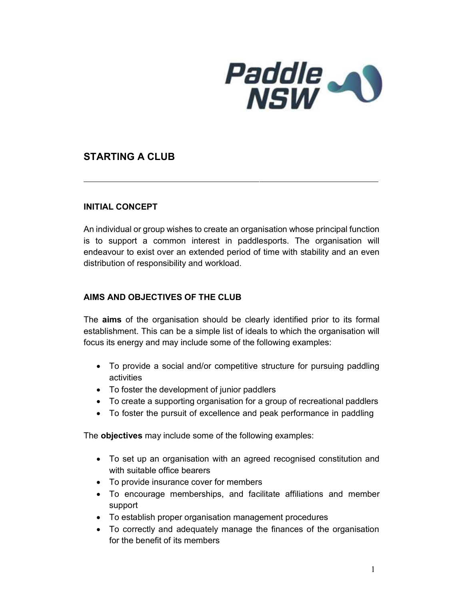

# STARTING A CLUB

#### INITIAL CONCEPT

An individual or group wishes to create an organisation whose principal function is to support a common interest in paddlesports. The organisation will endeavour to exist over an extended period of time with stability and an even distribution of responsibility and workload.

### AIMS AND OBJECTIVES OF THE CLUB

The **aims** of the organisation should be clearly identified prior to its formal establishment. This can be a simple list of ideals to which the organisation will focus its energy and may include some of the following examples:

- To provide a social and/or competitive structure for pursuing paddling activities
- To foster the development of junior paddlers
- To create a supporting organisation for a group of recreational paddlers
- To foster the pursuit of excellence and peak performance in paddling

The **objectives** may include some of the following examples:

- To set up an organisation with an agreed recognised constitution and with suitable office bearers
- To provide insurance cover for members
- To encourage memberships, and facilitate affiliations and member support
- To establish proper organisation management procedures
- To correctly and adequately manage the finances of the organisation for the benefit of its members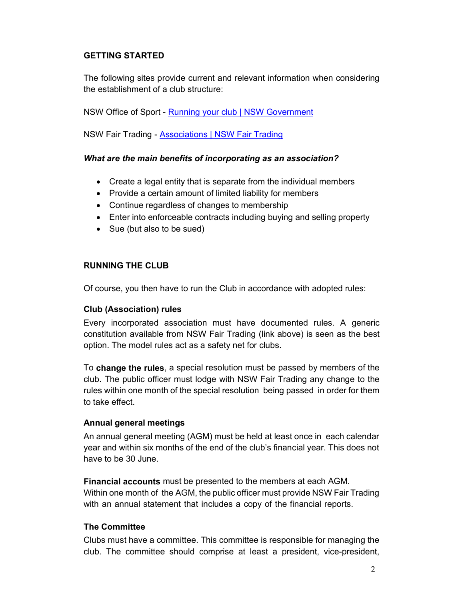## GETTING STARTED

The following sites provide current and relevant information when considering the establishment of a club structure:

NSW Office of Sport - Running your club | NSW Government

NSW Fair Trading - Associations | NSW Fair Trading

### What are the main benefits of incorporating as an association?

- Create a legal entity that is separate from the individual members
- Provide a certain amount of limited liability for members
- Continue regardless of changes to membership
- Enter into enforceable contracts including buying and selling property
- Sue (but also to be sued)

#### RUNNING THE CLUB

Of course, you then have to run the Club in accordance with adopted rules:

#### Club (Association) rules

Every incorporated association must have documented rules. A generic constitution available from NSW Fair Trading (link above) is seen as the best option. The model rules act as a safety net for clubs.

To change the rules, a special resolution must be passed by members of the club. The public officer must lodge with NSW Fair Trading any change to the rules within one month of the special resolution being passed in order for them to take effect.

#### Annual general meetings

An annual general meeting (AGM) must be held at least once in each calendar year and within six months of the end of the club's financial year. This does not have to be 30 June.

Financial accounts must be presented to the members at each AGM. Within one month of the AGM, the public officer must provide NSW Fair Trading with an annual statement that includes a copy of the financial reports.

#### The Committee

Clubs must have a committee. This committee is responsible for managing the club. The committee should comprise at least a president, vice-president,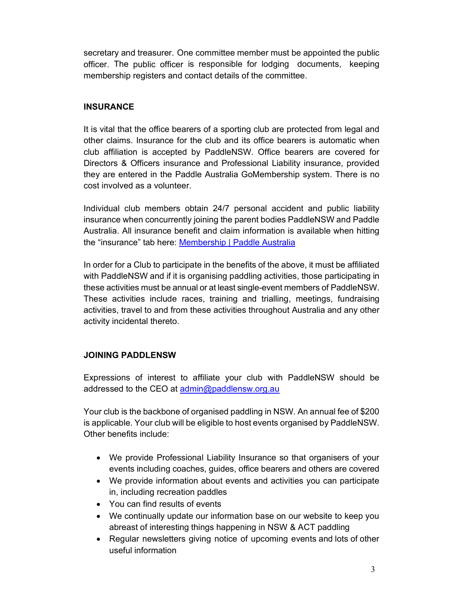secretary and treasurer. One committee member must be appointed the public officer. The public officer is responsible for lodging documents, keeping membership registers and contact details of the committee.

### **INSURANCE**

It is vital that the office bearers of a sporting club are protected from legal and other claims. Insurance for the club and its office bearers is automatic when club affiliation is accepted by PaddleNSW. Office bearers are covered for Directors & Officers insurance and Professional Liability insurance, provided they are entered in the Paddle Australia GoMembership system. There is no cost involved as a volunteer.

Individual club members obtain 24/7 personal accident and public liability insurance when concurrently joining the parent bodies PaddleNSW and Paddle Australia. All insurance benefit and claim information is available when hitting the "insurance" tab here: Membership | Paddle Australia

In order for a Club to participate in the benefits of the above, it must be affiliated with PaddleNSW and if it is organising paddling activities, those participating in these activities must be annual or at least single-event members of PaddleNSW. These activities include races, training and trialling, meetings, fundraising activities, travel to and from these activities throughout Australia and any other activity incidental thereto.

### JOINING PADDLENSW

Expressions of interest to affiliate your club with PaddleNSW should be addressed to the CEO at admin@paddlensw.org.au

Your club is the backbone of organised paddling in NSW. An annual fee of \$200 is applicable. Your club will be eligible to host events organised by PaddleNSW. Other benefits include:

- We provide Professional Liability Insurance so that organisers of your events including coaches, guides, office bearers and others are covered
- We provide information about events and activities you can participate in, including recreation paddles
- You can find results of events
- We continually update our information base on our website to keep you abreast of interesting things happening in NSW & ACT paddling
- Regular newsletters giving notice of upcoming events and lots of other useful information